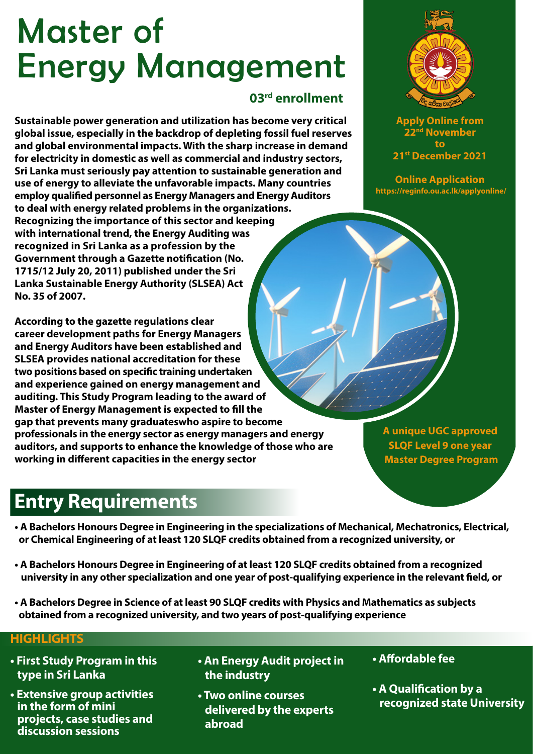# Master of Energy Management

#### **03rd enrollment**

**Sustainable power generation and utilization has become very critical global issue, especially in the backdrop of depleting fossil fuel reserves and global environmental impacts. With the sharp increase in demand for electricity in domestic as well as commercial and industry sectors, Sri Lanka must seriously pay attention to sustainable generation and use of energy to alleviate the unfavorable impacts. Many countries employ qualified personnel as Energy Managers and Energy Auditors to deal with energy related problems in the organizations. Recognizing the importance of this sector and keeping with international trend, the Energy Auditing was recognized in Sri Lanka as a profession by the Government through a Gazette notification (No. 1715/12 July 20, 2011) published under the Sri Lanka Sustainable Energy Authority (SLSEA) Act No. 35 of 2007.**

**According to the gazette regulations clear career development paths for Energy Managers and Energy Auditors have been established and SLSEA provides national accreditation for these**  two positions based on specific training undertaken **and experience gained on energy management and auditing. This Study Program leading to the award of Master of Energy Management is expected to fill the gap that prevents many graduateswho aspire to become professionals in the energy sector as energy managers and energy auditors, and supports to enhance the knowledge of those who are working in different capacities in the energy sector** 

#### **A unique UGC approved SLQF Level 9 one year Master Degree Program**

# **Entry Requirements**

- **A Bachelors Honours Degree in Engineering in the specializations of Mechanical, Mechatronics, Electrical, or Chemical Engineering of at least 120 SLQF credits obtained from a recognized university, or**
- **A Bachelors Honours Degree in Engineering of at least 120 SLQF credits obtained from a recognized**  university in any other specialization and one year of post-qualifying experience in the relevant field, or
- **A Bachelors Degree in Science of at least 90 SLQF credits with Physics and Mathematics as subjects obtained from a recognized university, and two years of post-qualifying experience**

#### **HIGHLIGHTS**

- **First Study Program in this type in Sri Lanka**
- **Extensive group activities in the form of mini projects, case studies and discussion sessions**
- **An Energy Audit project in the industry**
- **Two online courses delivered by the experts abroad**
- Affordable fee
- **A Qualification by a recognized state University**

**Apply Online from November to 21st December 2021**

**Online Application https://reginfo.ou.ac.lk/applyonline/**